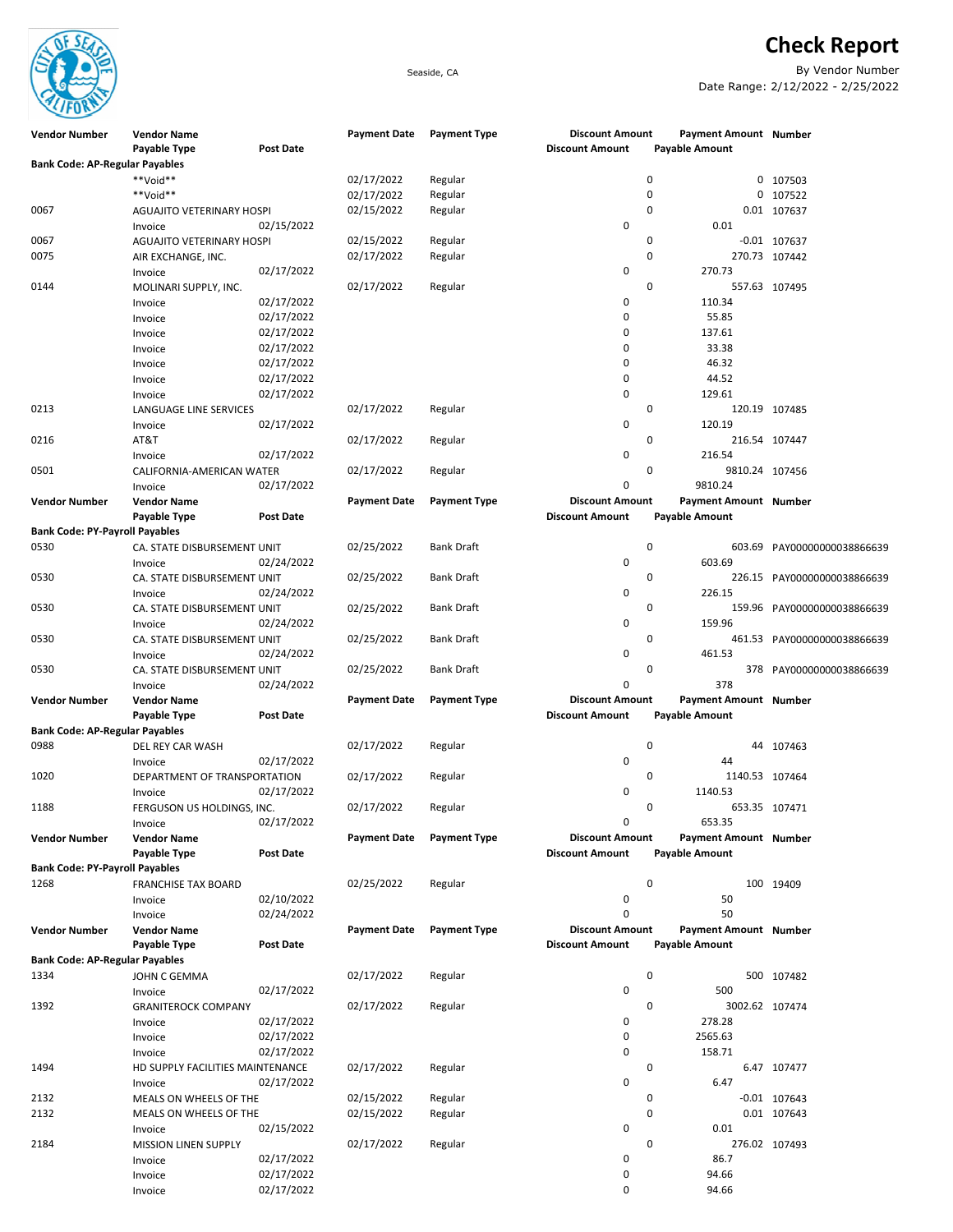

Check Report

Seaside, CA By Vendor Number Date Range: 2/12/2022 - 2/25/2022

| <b>Vendor Number</b>                  | <b>Vendor Name</b>               |                  | <b>Payment Date</b> | <b>Payment Type</b> | <b>Discount Amount</b> | <b>Payment Amount Number</b> |                             |
|---------------------------------------|----------------------------------|------------------|---------------------|---------------------|------------------------|------------------------------|-----------------------------|
| <b>Bank Code: AP-Regular Payables</b> | Payable Type                     | <b>Post Date</b> |                     |                     | <b>Discount Amount</b> | Payable Amount               |                             |
|                                       | **Void**                         |                  | 02/17/2022          | Regular             | 0                      |                              | 0 107503                    |
|                                       | **Void**                         |                  | 02/17/2022          | Regular             | 0                      |                              | 0 107522                    |
| 0067                                  | AGUAJITO VETERINARY HOSPI        |                  | 02/15/2022          | Regular             | 0                      |                              | 0.01 107637                 |
|                                       |                                  | 02/15/2022       |                     |                     | 0                      | 0.01                         |                             |
|                                       | Invoice                          |                  |                     |                     |                        |                              |                             |
| 0067                                  | <b>AGUAJITO VETERINARY HOSPI</b> |                  | 02/15/2022          | Regular             | 0                      |                              | $-0.01$ 107637              |
| 0075                                  | AIR EXCHANGE, INC.               |                  | 02/17/2022          | Regular             | 0                      |                              | 270.73 107442               |
|                                       | Invoice                          | 02/17/2022       |                     |                     | 0                      | 270.73                       |                             |
| 0144                                  | MOLINARI SUPPLY, INC.            |                  | 02/17/2022          | Regular             | 0                      |                              | 557.63 107495               |
|                                       | Invoice                          | 02/17/2022       |                     |                     | 0                      | 110.34                       |                             |
|                                       | Invoice                          | 02/17/2022       |                     |                     | 0                      | 55.85                        |                             |
|                                       | Invoice                          | 02/17/2022       |                     |                     | 0                      | 137.61                       |                             |
|                                       | Invoice                          | 02/17/2022       |                     |                     | 0                      | 33.38                        |                             |
|                                       | Invoice                          | 02/17/2022       |                     |                     | 0                      | 46.32                        |                             |
|                                       | Invoice                          | 02/17/2022       |                     |                     | 0                      | 44.52                        |                             |
|                                       | Invoice                          | 02/17/2022       |                     |                     | 0                      | 129.61                       |                             |
| 0213                                  | LANGUAGE LINE SERVICES           |                  | 02/17/2022          | Regular             | 0                      |                              | 120.19 107485               |
|                                       | Invoice                          | 02/17/2022       |                     |                     | 0                      | 120.19                       |                             |
| 0216                                  | AT&T                             |                  | 02/17/2022          | Regular             | 0                      |                              | 216.54 107447               |
|                                       |                                  | 02/17/2022       |                     |                     | 0                      | 216.54                       |                             |
|                                       | Invoice                          |                  |                     |                     |                        |                              |                             |
| 0501                                  | CALIFORNIA-AMERICAN WATER        |                  | 02/17/2022          | Regular             | 0                      | 9810.24 107456               |                             |
|                                       | Invoice                          | 02/17/2022       |                     |                     | 0                      | 9810.24                      |                             |
| <b>Vendor Number</b>                  | <b>Vendor Name</b>               |                  | <b>Payment Date</b> | <b>Payment Type</b> | <b>Discount Amount</b> | Payment Amount Number        |                             |
|                                       | Payable Type                     | <b>Post Date</b> |                     |                     | <b>Discount Amount</b> | Payable Amount               |                             |
| <b>Bank Code: PY-Payroll Payables</b> |                                  |                  |                     |                     |                        |                              |                             |
| 0530                                  | CA. STATE DISBURSEMENT UNIT      |                  | 02/25/2022          | <b>Bank Draft</b>   | 0                      | 603.69                       | PAY00000000038866639        |
|                                       | Invoice                          | 02/24/2022       |                     |                     | 0                      | 603.69                       |                             |
| 0530                                  | CA. STATE DISBURSEMENT UNIT      |                  | 02/25/2022          | <b>Bank Draft</b>   | 0                      |                              | 226.15 PAY00000000038866639 |
|                                       | Invoice                          | 02/24/2022       |                     |                     | 0                      | 226.15                       |                             |
| 0530                                  | CA. STATE DISBURSEMENT UNIT      |                  | 02/25/2022          | <b>Bank Draft</b>   | 0                      |                              | 159.96 PAY00000000038866639 |
|                                       | Invoice                          | 02/24/2022       |                     |                     | 0                      | 159.96                       |                             |
| 0530                                  | CA. STATE DISBURSEMENT UNIT      |                  | 02/25/2022          | <b>Bank Draft</b>   | 0                      |                              | 461.53 PAY00000000038866639 |
|                                       | Invoice                          | 02/24/2022       |                     |                     | 0                      | 461.53                       |                             |
| 0530                                  | CA. STATE DISBURSEMENT UNIT      |                  | 02/25/2022          | <b>Bank Draft</b>   | 0                      |                              | 378 PAY00000000038866639    |
|                                       |                                  | 02/24/2022       |                     |                     | 0                      | 378                          |                             |
|                                       | Invoice                          |                  |                     |                     |                        |                              |                             |
| <b>Vendor Number</b>                  | <b>Vendor Name</b>               |                  | <b>Payment Date</b> | <b>Payment Type</b> | <b>Discount Amount</b> | Payment Amount Number        |                             |
|                                       | Payable Type                     | <b>Post Date</b> |                     |                     | <b>Discount Amount</b> | Payable Amount               |                             |
| <b>Bank Code: AP-Regular Payables</b> |                                  |                  |                     |                     |                        |                              |                             |
| 0988                                  | DEL REY CAR WASH                 |                  | 02/17/2022          | Regular             | 0                      |                              | 44 107463                   |
|                                       | Invoice                          | 02/17/2022       |                     |                     | 0                      | 44                           |                             |
| 1020                                  | DEPARTMENT OF TRANSPORTATION     |                  | 02/17/2022          | Regular             | 0                      | 1140.53 107464               |                             |
|                                       | Invoice                          | 02/17/2022       |                     |                     | 0                      | 1140.53                      |                             |
| 1188                                  | FERGUSON US HOLDINGS, INC.       |                  | 02/17/2022          | Regular             | 0                      |                              | 653.35 107471               |
|                                       | Invoice                          | 02/17/2022       |                     |                     | 0                      | 653.35                       |                             |
| <b>Vendor Number</b>                  | <b>Vendor Name</b>               |                  | <b>Payment Date</b> | <b>Payment Type</b> | <b>Discount Amount</b> | Payment Amount Number        |                             |
|                                       | Payable Type                     | Post Date        |                     |                     | <b>Discount Amount</b> | <b>Payable Amount</b>        |                             |
| <b>Bank Code: PY-Payroll Payables</b> |                                  |                  |                     |                     |                        |                              |                             |
| 1268                                  | FRANCHISE TAX BOARD              |                  | 02/25/2022          | Regular             | $\mathbf 0$            |                              | 100 19409                   |
|                                       | Invoice                          | 02/10/2022       |                     |                     | 0                      | 50                           |                             |
|                                       | Invoice                          | 02/24/2022       |                     |                     | 0                      | 50                           |                             |
| <b>Vendor Number</b>                  | <b>Vendor Name</b>               |                  | <b>Payment Date</b> | <b>Payment Type</b> | <b>Discount Amount</b> | Payment Amount Number        |                             |
|                                       | Payable Type                     | Post Date        |                     |                     | <b>Discount Amount</b> | <b>Payable Amount</b>        |                             |
| <b>Bank Code: AP-Regular Payables</b> |                                  |                  |                     |                     |                        |                              |                             |
|                                       |                                  |                  |                     |                     |                        |                              |                             |
| 1334                                  | JOHN C GEMMA                     |                  | 02/17/2022          | Regular             | $\mathbf 0$            |                              | 500 107482                  |
|                                       | Invoice                          | 02/17/2022       |                     |                     | 0                      | 500                          |                             |
| 1392                                  | <b>GRANITEROCK COMPANY</b>       |                  | 02/17/2022          | Regular             | 0                      | 3002.62 107474               |                             |
|                                       | Invoice                          | 02/17/2022       |                     |                     | 0                      | 278.28                       |                             |
|                                       | Invoice                          | 02/17/2022       |                     |                     | 0                      | 2565.63                      |                             |
|                                       | Invoice                          | 02/17/2022       |                     |                     | 0                      | 158.71                       |                             |
| 1494                                  | HD SUPPLY FACILITIES MAINTENANCE |                  | 02/17/2022          | Regular             | $\mathbf 0$            |                              | 6.47 107477                 |
|                                       | Invoice                          | 02/17/2022       |                     |                     | 0                      | 6.47                         |                             |
| 2132                                  | MEALS ON WHEELS OF THE           |                  | 02/15/2022          | Regular             |                        | 0                            | $-0.01$ 107643              |
| 2132                                  | MEALS ON WHEELS OF THE           |                  | 02/15/2022          | Regular             | 0                      |                              | 0.01 107643                 |
|                                       | Invoice                          | 02/15/2022       |                     |                     | 0                      | 0.01                         |                             |
| 2184                                  | MISSION LINEN SUPPLY             |                  | 02/17/2022          | Regular             | 0                      |                              | 276.02 107493               |
|                                       | Invoice                          | 02/17/2022       |                     |                     | 0                      | 86.7                         |                             |
|                                       | Invoice                          | 02/17/2022       |                     |                     | 0                      | 94.66                        |                             |
|                                       | Invoice                          | 02/17/2022       |                     |                     | 0                      | 94.66                        |                             |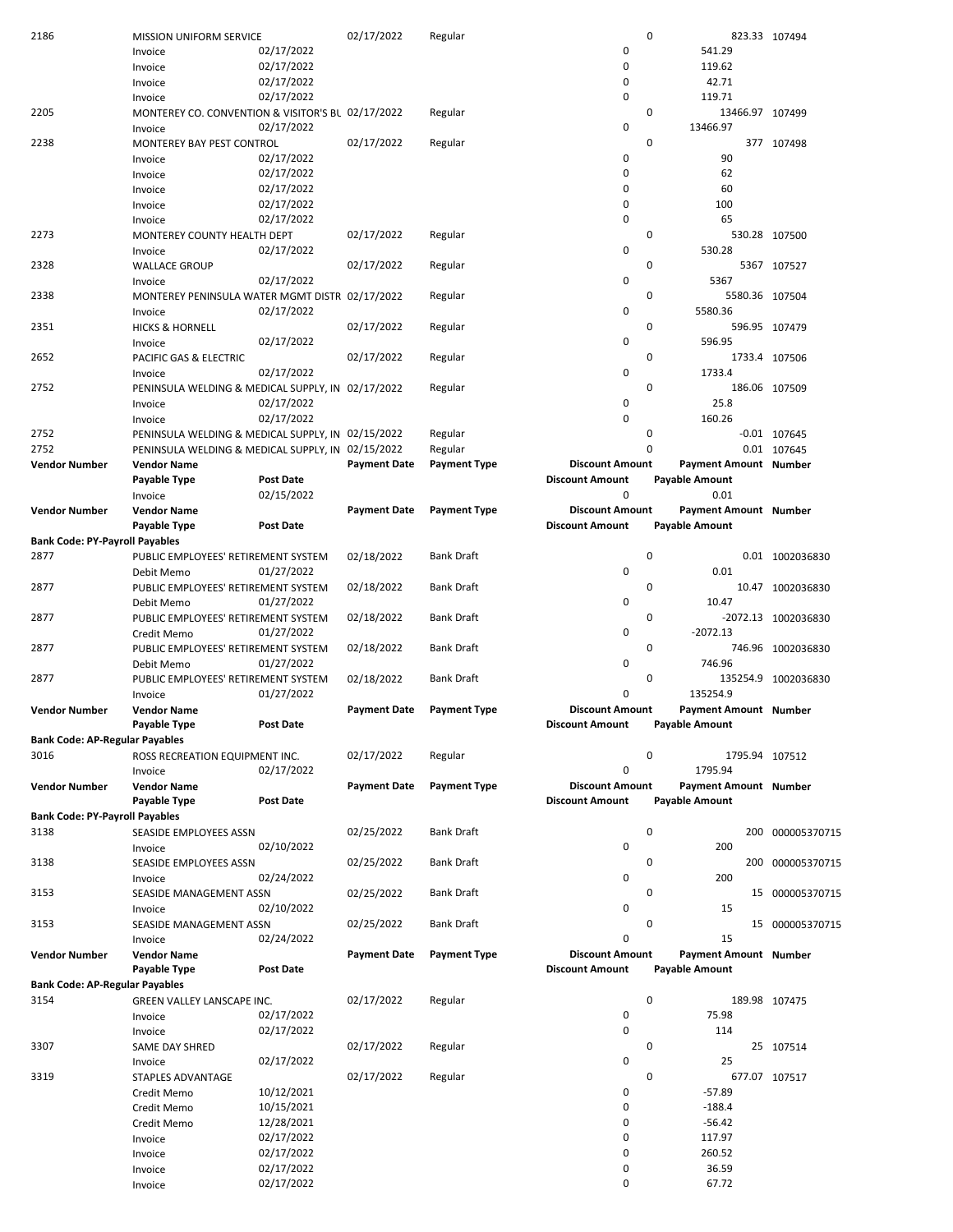| 2186                                  | MISSION UNIFORM SERVICE                           |                          | 02/17/2022          | Regular             |                        | 0                     | 823.33 107494       |
|---------------------------------------|---------------------------------------------------|--------------------------|---------------------|---------------------|------------------------|-----------------------|---------------------|
|                                       | Invoice                                           | 02/17/2022               |                     |                     | 0                      | 541.29                |                     |
|                                       | Invoice                                           | 02/17/2022               |                     |                     | $\mathbf 0$            | 119.62                |                     |
|                                       | Invoice                                           | 02/17/2022               |                     |                     | $\mathbf 0$            | 42.71                 |                     |
|                                       | Invoice                                           | 02/17/2022               |                     |                     | 0                      | 119.71                |                     |
| 2205                                  | MONTEREY CO. CONVENTION & VISITOR'S BL 02/17/2022 |                          |                     | Regular             |                        | 0<br>13466.97 107499  |                     |
|                                       | Invoice                                           | 02/17/2022               |                     |                     | $\pmb{0}$              | 13466.97              |                     |
| 2238                                  | MONTEREY BAY PEST CONTROL                         |                          | 02/17/2022          | Regular             |                        | 0                     | 377 107498          |
|                                       |                                                   | 02/17/2022               |                     |                     | 0                      | 90                    |                     |
|                                       | Invoice                                           |                          |                     |                     |                        |                       |                     |
|                                       | Invoice                                           | 02/17/2022               |                     |                     | 0                      | 62                    |                     |
|                                       | Invoice                                           | 02/17/2022               |                     |                     | $\mathbf 0$            | 60                    |                     |
|                                       | Invoice                                           | 02/17/2022               |                     |                     | $\mathbf 0$            | 100                   |                     |
|                                       | Invoice                                           | 02/17/2022               |                     |                     | $\mathbf 0$            | 65                    |                     |
| 2273                                  | MONTEREY COUNTY HEALTH DEPT                       |                          | 02/17/2022          | Regular             |                        | 0                     | 530.28 107500       |
|                                       | Invoice                                           | 02/17/2022               |                     |                     | $\pmb{0}$              | 530.28                |                     |
| 2328                                  | <b>WALLACE GROUP</b>                              |                          | 02/17/2022          | Regular             |                        | 0                     | 5367 107527         |
|                                       | Invoice                                           | 02/17/2022               |                     |                     | 0                      | 5367                  |                     |
| 2338                                  | MONTEREY PENINSULA WATER MGMT DISTR 02/17/2022    |                          |                     | Regular             |                        | 0<br>5580.36 107504   |                     |
|                                       | Invoice                                           | 02/17/2022               |                     |                     | 0                      | 5580.36               |                     |
| 2351                                  |                                                   |                          |                     |                     |                        | 0                     |                     |
|                                       | <b>HICKS &amp; HORNELL</b>                        |                          | 02/17/2022          | Regular             |                        |                       | 596.95 107479       |
|                                       | Invoice                                           | 02/17/2022               |                     |                     | $\pmb{0}$              | 596.95                |                     |
| 2652                                  | PACIFIC GAS & ELECTRIC                            |                          | 02/17/2022          | Regular             |                        | 0                     | 1733.4 107506       |
|                                       | Invoice                                           | 02/17/2022               |                     |                     | $\pmb{0}$              | 1733.4                |                     |
| 2752                                  | PENINSULA WELDING & MEDICAL SUPPLY, IN 02/17/2022 |                          |                     | Regular             |                        | 0                     | 186.06 107509       |
|                                       | Invoice                                           | 02/17/2022               |                     |                     | 0                      | 25.8                  |                     |
|                                       | Invoice                                           | 02/17/2022               |                     |                     | $\pmb{0}$              | 160.26                |                     |
| 2752                                  | PENINSULA WELDING & MEDICAL SUPPLY, IN 02/15/2022 |                          |                     | Regular             |                        | 0                     | -0.01 107645        |
| 2752                                  | PENINSULA WELDING & MEDICAL SUPPLY, IN 02/15/2022 |                          |                     | Regular             |                        | 0                     | 0.01 107645         |
| <b>Vendor Number</b>                  | <b>Vendor Name</b>                                |                          | <b>Payment Date</b> | <b>Payment Type</b> | <b>Discount Amount</b> | Payment Amount Number |                     |
|                                       |                                                   |                          |                     |                     | <b>Discount Amount</b> |                       |                     |
|                                       | Payable Type                                      | <b>Post Date</b>         |                     |                     |                        | <b>Payable Amount</b> |                     |
|                                       | Invoice                                           | 02/15/2022               |                     |                     | $\mathbf 0$            | 0.01                  |                     |
| <b>Vendor Number</b>                  | <b>Vendor Name</b>                                |                          | <b>Payment Date</b> | <b>Payment Type</b> | <b>Discount Amount</b> | Payment Amount Number |                     |
|                                       | Payable Type                                      | <b>Post Date</b>         |                     |                     | <b>Discount Amount</b> | <b>Payable Amount</b> |                     |
| <b>Bank Code: PY-Payroll Payables</b> |                                                   |                          |                     |                     |                        |                       |                     |
| 2877                                  | PUBLIC EMPLOYEES' RETIREMENT SYSTEM               |                          | 02/18/2022          | <b>Bank Draft</b>   |                        | 0                     | 0.01 1002036830     |
|                                       | Debit Memo                                        | 01/27/2022               |                     |                     | $\pmb{0}$              | 0.01                  |                     |
| 2877                                  | PUBLIC EMPLOYEES' RETIREMENT SYSTEM               |                          | 02/18/2022          | <b>Bank Draft</b>   |                        | 0                     | 10.47 1002036830    |
|                                       | Debit Memo                                        | 01/27/2022               |                     |                     | 0                      | 10.47                 |                     |
| 2877                                  | PUBLIC EMPLOYEES' RETIREMENT SYSTEM               |                          | 02/18/2022          | <b>Bank Draft</b>   |                        | 0                     | -2072.13 1002036830 |
|                                       | Credit Memo                                       | 01/27/2022               |                     |                     | 0                      | $-2072.13$            |                     |
| 2877                                  | PUBLIC EMPLOYEES' RETIREMENT SYSTEM               |                          |                     | <b>Bank Draft</b>   |                        | 0                     |                     |
|                                       |                                                   |                          | 02/18/2022          |                     |                        |                       | 746.96 1002036830   |
|                                       | Debit Memo                                        | 01/27/2022               |                     |                     | 0                      | 746.96                |                     |
| 2877                                  | PUBLIC EMPLOYEES' RETIREMENT SYSTEM               |                          | 02/18/2022          | <b>Bank Draft</b>   |                        | 0                     | 135254.9 1002036830 |
|                                       | Invoice                                           | 01/27/2022               |                     |                     | $\mathbf 0$            | 135254.9              |                     |
| Vendor Number                         | <b>Vendor Name</b>                                |                          | <b>Payment Date</b> | <b>Payment Type</b> | <b>Discount Amount</b> | Payment Amount Number |                     |
|                                       | Payable Type                                      | <b>Post Date</b>         |                     |                     |                        |                       |                     |
| <b>Bank Code: AP-Regular Payables</b> |                                                   |                          |                     |                     | <b>Discount Amount</b> | Payable Amount        |                     |
|                                       |                                                   |                          |                     |                     |                        |                       |                     |
| 3016                                  |                                                   |                          | 02/17/2022          |                     |                        | 0                     |                     |
|                                       | ROSS RECREATION EQUIPMENT INC.                    |                          |                     | Regular             |                        | 1795.94 107512        |                     |
|                                       | Invoice                                           | 02/17/2022               |                     |                     | $\mathbf 0$            | 1795.94               |                     |
| Vendor Number                         | <b>Vendor Name</b>                                |                          | <b>Payment Date</b> | <b>Payment Type</b> | <b>Discount Amount</b> | Payment Amount Number |                     |
|                                       | Payable Type                                      | <b>Post Date</b>         |                     |                     | <b>Discount Amount</b> | <b>Payable Amount</b> |                     |
| <b>Bank Code: PY-Payroll Payables</b> |                                                   |                          |                     |                     |                        |                       |                     |
| 3138                                  | SEASIDE EMPLOYEES ASSN                            |                          | 02/25/2022          | <b>Bank Draft</b>   |                        | $\pmb{0}$             | 200 000005370715    |
|                                       | Invoice                                           | 02/10/2022               |                     |                     | 0                      | 200                   |                     |
| 3138                                  | SEASIDE EMPLOYEES ASSN                            |                          | 02/25/2022          | <b>Bank Draft</b>   |                        | 0                     | 200 000005370715    |
|                                       | Invoice                                           | 02/24/2022               |                     |                     | 0                      | 200                   |                     |
| 3153                                  | SEASIDE MANAGEMENT ASSN                           |                          | 02/25/2022          | <b>Bank Draft</b>   |                        | 0                     | 15 000005370715     |
|                                       |                                                   |                          |                     |                     |                        |                       |                     |
|                                       | Invoice                                           | 02/10/2022               |                     |                     | 0                      | 15                    |                     |
| 3153                                  | SEASIDE MANAGEMENT ASSN                           |                          | 02/25/2022          | <b>Bank Draft</b>   |                        | 0                     | 15 000005370715     |
|                                       | Invoice                                           | 02/24/2022               |                     |                     | $\mathbf 0$            | 15                    |                     |
| <b>Vendor Number</b>                  | <b>Vendor Name</b>                                |                          | <b>Payment Date</b> | <b>Payment Type</b> | <b>Discount Amount</b> | Payment Amount Number |                     |
|                                       | Payable Type                                      | <b>Post Date</b>         |                     |                     | <b>Discount Amount</b> | <b>Payable Amount</b> |                     |
| <b>Bank Code: AP-Regular Payables</b> |                                                   |                          |                     |                     |                        |                       |                     |
| 3154                                  | GREEN VALLEY LANSCAPE INC.                        |                          | 02/17/2022          | Regular             |                        | 0                     | 189.98 107475       |
|                                       | Invoice                                           | 02/17/2022               |                     |                     | 0                      | 75.98                 |                     |
|                                       | Invoice                                           | 02/17/2022               |                     |                     | 0                      | 114                   |                     |
| 3307                                  | SAME DAY SHRED                                    |                          | 02/17/2022          | Regular             |                        | 0                     | 25 107514           |
|                                       | Invoice                                           | 02/17/2022               |                     |                     | 0                      | 25                    |                     |
| 3319                                  | STAPLES ADVANTAGE                                 |                          | 02/17/2022          | Regular             |                        | 0                     | 677.07 107517       |
|                                       |                                                   |                          |                     |                     | 0                      | $-57.89$              |                     |
|                                       | Credit Memo                                       | 10/12/2021               |                     |                     |                        |                       |                     |
|                                       | Credit Memo                                       | 10/15/2021               |                     |                     | $\mathbf 0$            | $-188.4$              |                     |
|                                       | Credit Memo                                       | 12/28/2021               |                     |                     | 0                      | $-56.42$              |                     |
|                                       | Invoice                                           | 02/17/2022               |                     |                     | $\mathbf 0$            | 117.97                |                     |
|                                       | Invoice                                           | 02/17/2022               |                     |                     | $\mathbf 0$            | 260.52                |                     |
|                                       | Invoice<br>Invoice                                | 02/17/2022<br>02/17/2022 |                     |                     | 0<br>$\mathbf 0$       | 36.59<br>67.72        |                     |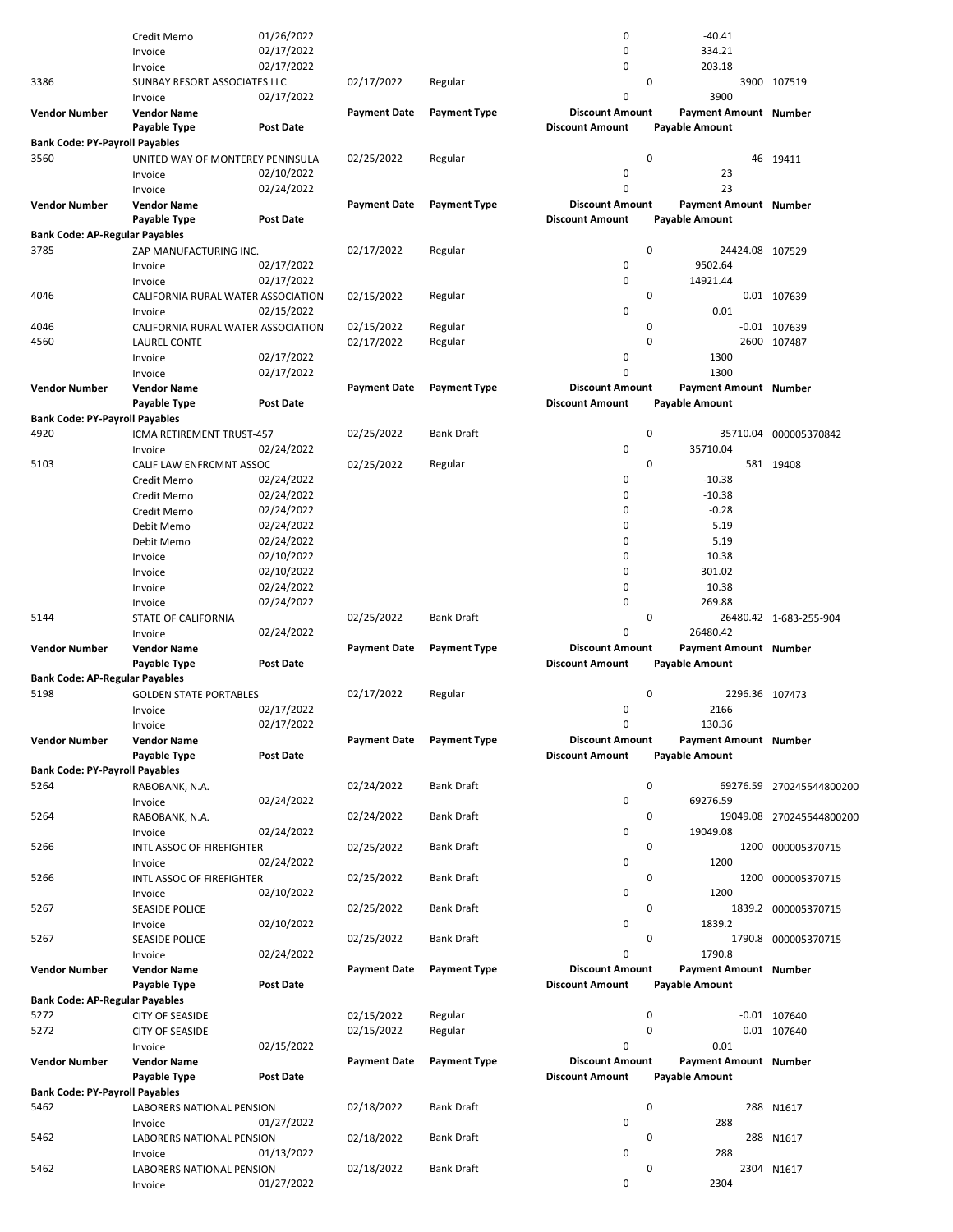|                                       | Credit Memo                          | 01/26/2022       |                     |                     | 0                      | $-40.41$              |                          |
|---------------------------------------|--------------------------------------|------------------|---------------------|---------------------|------------------------|-----------------------|--------------------------|
|                                       | Invoice                              | 02/17/2022       |                     |                     | 0                      | 334.21                |                          |
|                                       | Invoice                              | 02/17/2022       |                     |                     | 0                      | 203.18                |                          |
|                                       |                                      |                  |                     |                     | 0                      |                       | 3900 107519              |
| 3386                                  | SUNBAY RESORT ASSOCIATES LLC         |                  | 02/17/2022          | Regular             |                        |                       |                          |
|                                       | Invoice                              | 02/17/2022       |                     |                     | 0                      | 3900                  |                          |
| <b>Vendor Number</b>                  | <b>Vendor Name</b>                   |                  | <b>Payment Date</b> | <b>Payment Type</b> | <b>Discount Amount</b> | Payment Amount Number |                          |
|                                       | Payable Type                         | <b>Post Date</b> |                     |                     | <b>Discount Amount</b> | Payable Amount        |                          |
| <b>Bank Code: PY-Payroll Payables</b> |                                      |                  |                     |                     |                        |                       |                          |
|                                       |                                      |                  |                     |                     |                        |                       |                          |
| 3560                                  | UNITED WAY OF MONTEREY PENINSULA     |                  | 02/25/2022          | Regular             | 0                      |                       | 46 19411                 |
|                                       | Invoice                              | 02/10/2022       |                     |                     | 0                      | 23                    |                          |
|                                       | Invoice                              | 02/24/2022       |                     |                     | 0                      | 23                    |                          |
| <b>Vendor Number</b>                  | <b>Vendor Name</b>                   |                  | <b>Payment Date</b> | <b>Payment Type</b> | <b>Discount Amount</b> | Payment Amount Number |                          |
|                                       |                                      |                  |                     |                     |                        |                       |                          |
|                                       | Payable Type                         | <b>Post Date</b> |                     |                     | <b>Discount Amount</b> | Payable Amount        |                          |
| <b>Bank Code: AP-Regular Payables</b> |                                      |                  |                     |                     |                        |                       |                          |
| 3785                                  | ZAP MANUFACTURING INC.               |                  | 02/17/2022          | Regular             | 0                      | 24424.08 107529       |                          |
|                                       | Invoice                              | 02/17/2022       |                     |                     | 0                      | 9502.64               |                          |
|                                       |                                      |                  |                     |                     |                        |                       |                          |
|                                       | Invoice                              | 02/17/2022       |                     |                     | 0                      | 14921.44              |                          |
| 4046                                  | CALIFORNIA RURAL WATER ASSOCIATION   |                  | 02/15/2022          | Regular             | 0                      |                       | 0.01 107639              |
|                                       | Invoice                              | 02/15/2022       |                     |                     | 0                      | 0.01                  |                          |
| 4046                                  | CALIFORNIA RURAL WATER ASSOCIATION   |                  | 02/15/2022          | Regular             | 0                      |                       | $-0.01$ 107639           |
|                                       |                                      |                  |                     |                     |                        |                       |                          |
| 4560                                  | LAUREL CONTE                         |                  | 02/17/2022          | Regular             | 0                      |                       | 2600 107487              |
|                                       | Invoice                              | 02/17/2022       |                     |                     | 0                      | 1300                  |                          |
|                                       | Invoice                              | 02/17/2022       |                     |                     | 0                      | 1300                  |                          |
| <b>Vendor Number</b>                  | <b>Vendor Name</b>                   |                  | <b>Payment Date</b> | <b>Payment Type</b> | <b>Discount Amount</b> | Payment Amount Number |                          |
|                                       |                                      |                  |                     |                     |                        |                       |                          |
|                                       | Payable Type                         | <b>Post Date</b> |                     |                     | <b>Discount Amount</b> | <b>Payable Amount</b> |                          |
| <b>Bank Code: PY-Payroll Payables</b> |                                      |                  |                     |                     |                        |                       |                          |
| 4920                                  | ICMA RETIREMENT TRUST-457            |                  | 02/25/2022          | <b>Bank Draft</b>   | 0                      |                       | 35710.04 000005370842    |
|                                       | Invoice                              | 02/24/2022       |                     |                     | 0                      | 35710.04              |                          |
|                                       |                                      |                  |                     |                     |                        |                       |                          |
| 5103                                  | CALIF LAW ENFRCMNT ASSOC             |                  | 02/25/2022          | Regular             | 0                      |                       | 581 19408                |
|                                       | Credit Memo                          | 02/24/2022       |                     |                     | 0                      | $-10.38$              |                          |
|                                       | Credit Memo                          | 02/24/2022       |                     |                     | 0                      | $-10.38$              |                          |
|                                       | Credit Memo                          | 02/24/2022       |                     |                     | 0                      | $-0.28$               |                          |
|                                       |                                      |                  |                     |                     |                        |                       |                          |
|                                       | Debit Memo                           | 02/24/2022       |                     |                     | 0                      | 5.19                  |                          |
|                                       | Debit Memo                           | 02/24/2022       |                     |                     | 0                      | 5.19                  |                          |
|                                       | Invoice                              | 02/10/2022       |                     |                     | 0                      | 10.38                 |                          |
|                                       | Invoice                              | 02/10/2022       |                     |                     | 0                      | 301.02                |                          |
|                                       |                                      |                  |                     |                     |                        |                       |                          |
|                                       | Invoice                              | 02/24/2022       |                     |                     | 0                      | 10.38                 |                          |
|                                       | Invoice                              | 02/24/2022       |                     |                     | $\mathbf 0$            | 269.88                |                          |
| 5144                                  | STATE OF CALIFORNIA                  |                  | 02/25/2022          | <b>Bank Draft</b>   | 0                      |                       | 26480.42 1-683-255-904   |
|                                       | Invoice                              | 02/24/2022       |                     |                     | 0                      | 26480.42              |                          |
|                                       |                                      |                  |                     |                     |                        |                       |                          |
| <b>Vendor Number</b>                  | <b>Vendor Name</b>                   |                  | <b>Payment Date</b> | <b>Payment Type</b> | <b>Discount Amount</b> | Payment Amount Number |                          |
|                                       | Payable Type                         | <b>Post Date</b> |                     |                     | <b>Discount Amount</b> | Payable Amount        |                          |
| <b>Bank Code: AP-Regular Payables</b> |                                      |                  |                     |                     |                        |                       |                          |
| 5198                                  | <b>GOLDEN STATE PORTABLES</b>        |                  | 02/17/2022          | Regular             | 0                      | 2296.36 107473        |                          |
|                                       |                                      |                  |                     |                     |                        |                       |                          |
|                                       | Invoice                              | 02/17/2022       |                     |                     | 0                      | 2166                  |                          |
|                                       | Invoice                              | 02/17/2022       |                     |                     | 0                      | 130.36                |                          |
| <b>Vendor Number</b>                  | <b>Vendor Name</b>                   |                  | <b>Payment Date</b> | <b>Payment Type</b> | <b>Discount Amount</b> | Payment Amount Number |                          |
|                                       | <b>Payable Type</b>                  | <b>Post Date</b> |                     |                     | <b>Discount Amount</b> | <b>Payable Amount</b> |                          |
|                                       |                                      |                  |                     |                     |                        |                       |                          |
| <b>Bank Code: PY-Payroll Payables</b> |                                      |                  |                     |                     |                        |                       |                          |
| 5264                                  | RABOBANK, N.A.                       |                  | 02/24/2022          | <b>Bank Draft</b>   | 0                      |                       | 69276.59 270245544800200 |
|                                       | Invoice                              | 02/24/2022       |                     |                     | 0                      | 69276.59              |                          |
| 5264                                  | RABOBANK, N.A.                       |                  | 02/24/2022          | <b>Bank Draft</b>   | 0                      |                       | 19049.08 270245544800200 |
|                                       |                                      |                  |                     |                     |                        |                       |                          |
|                                       | Invoice                              | 02/24/2022       |                     |                     | 0                      | 19049.08              |                          |
| 5266                                  | INTL ASSOC OF FIREFIGHTER            |                  | 02/25/2022          | <b>Bank Draft</b>   | 0                      |                       | 1200 000005370715        |
|                                       | Invoice                              | 02/24/2022       |                     |                     | 0                      | 1200                  |                          |
| 5266                                  |                                      |                  |                     |                     |                        |                       | 1200 000005370715        |
|                                       |                                      |                  |                     |                     |                        |                       |                          |
|                                       | INTL ASSOC OF FIREFIGHTER            |                  | 02/25/2022          | <b>Bank Draft</b>   | 0                      |                       |                          |
| 5267                                  | Invoice                              | 02/10/2022       |                     |                     | 0                      | 1200                  |                          |
|                                       | SEASIDE POLICE                       |                  | 02/25/2022          | <b>Bank Draft</b>   | 0                      |                       | 1839.2 000005370715      |
|                                       | Invoice                              |                  |                     |                     | 0                      | 1839.2                |                          |
|                                       |                                      | 02/10/2022       |                     |                     |                        |                       |                          |
| 5267                                  | SEASIDE POLICE                       |                  | 02/25/2022          | <b>Bank Draft</b>   | 0                      |                       | 1790.8 000005370715      |
|                                       | Invoice                              | 02/24/2022       |                     |                     | 0                      | 1790.8                |                          |
| <b>Vendor Number</b>                  | <b>Vendor Name</b>                   |                  | <b>Payment Date</b> | <b>Payment Type</b> | <b>Discount Amount</b> | Payment Amount Number |                          |
|                                       | Payable Type                         | <b>Post Date</b> |                     |                     | <b>Discount Amount</b> | <b>Payable Amount</b> |                          |
|                                       |                                      |                  |                     |                     |                        |                       |                          |
| <b>Bank Code: AP-Regular Payables</b> |                                      |                  |                     |                     |                        |                       |                          |
| 5272                                  | <b>CITY OF SEASIDE</b>               |                  | 02/15/2022          | Regular             | 0                      |                       | $-0.01$ 107640           |
| 5272                                  | <b>CITY OF SEASIDE</b>               |                  | 02/15/2022          | Regular             | 0                      |                       | 0.01 107640              |
|                                       | Invoice                              | 02/15/2022       |                     |                     | 0                      | 0.01                  |                          |
|                                       |                                      |                  |                     |                     |                        |                       |                          |
| <b>Vendor Number</b>                  | <b>Vendor Name</b>                   |                  | <b>Payment Date</b> | <b>Payment Type</b> | <b>Discount Amount</b> | Payment Amount Number |                          |
|                                       | Payable Type                         | <b>Post Date</b> |                     |                     | <b>Discount Amount</b> | <b>Payable Amount</b> |                          |
| <b>Bank Code: PY-Payroll Payables</b> |                                      |                  |                     |                     |                        |                       |                          |
|                                       |                                      |                  |                     |                     |                        |                       |                          |
| 5462                                  | LABORERS NATIONAL PENSION            |                  | 02/18/2022          | <b>Bank Draft</b>   | 0                      |                       | 288 N1617                |
|                                       | Invoice                              | 01/27/2022       |                     |                     | 0                      | 288                   |                          |
| 5462                                  | LABORERS NATIONAL PENSION            |                  | 02/18/2022          | <b>Bank Draft</b>   | 0                      |                       | 288 N1617                |
|                                       | Invoice                              | 01/13/2022       |                     |                     | 0                      | 288                   |                          |
| 5462                                  |                                      |                  |                     |                     | 0                      |                       |                          |
|                                       | LABORERS NATIONAL PENSION<br>Invoice | 01/27/2022       | 02/18/2022          | <b>Bank Draft</b>   | 0                      | 2304                  | 2304 N1617               |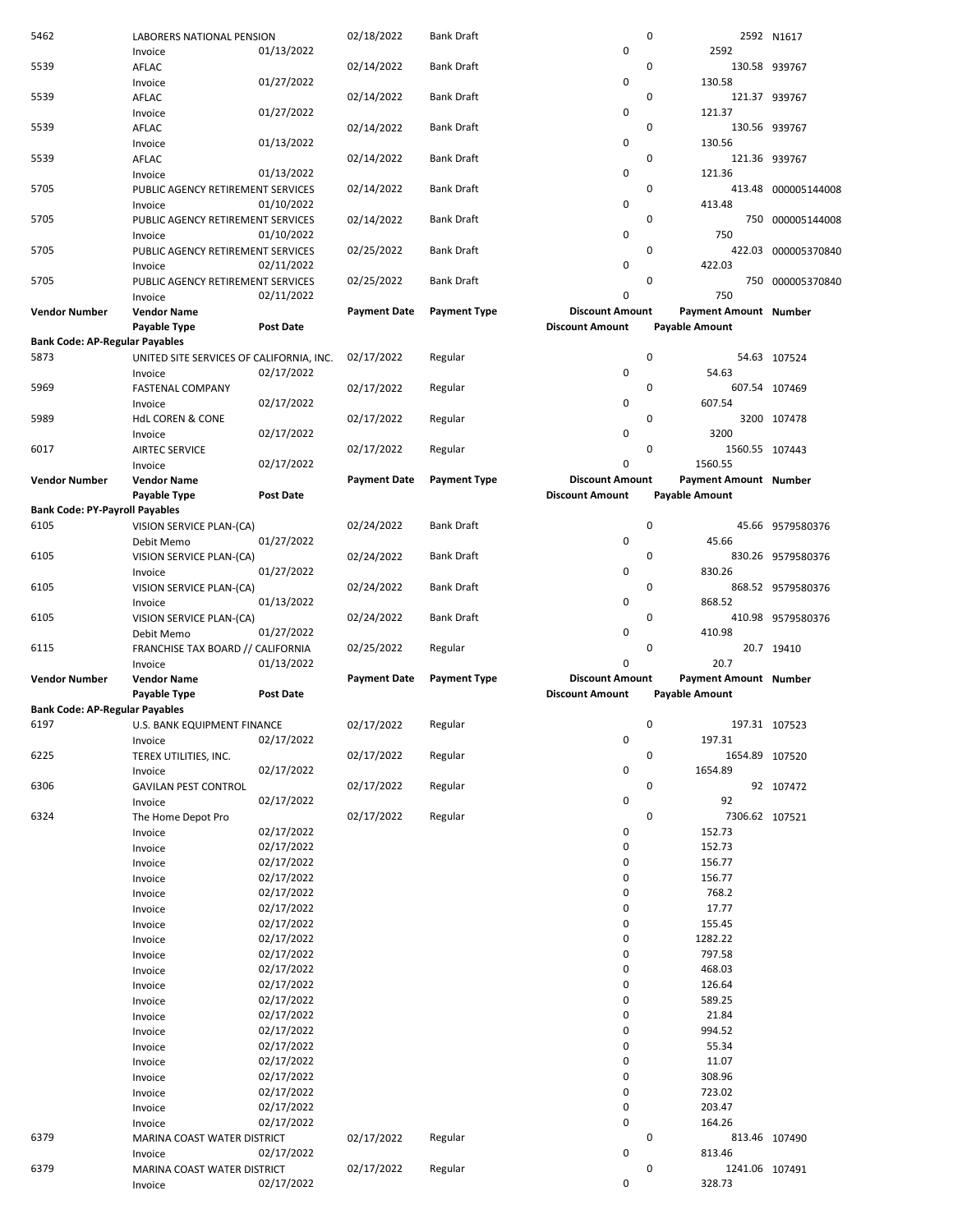| 5462                                  | LABORERS NATIONAL PENSION                |                  | 02/18/2022          | <b>Bank Draft</b>   |                        | 0                     | 2592 N1617          |
|---------------------------------------|------------------------------------------|------------------|---------------------|---------------------|------------------------|-----------------------|---------------------|
|                                       | Invoice                                  | 01/13/2022       |                     |                     | $\pmb{0}$              | 2592                  |                     |
| 5539                                  | AFLAC                                    |                  | 02/14/2022          | <b>Bank Draft</b>   |                        | 0                     | 130.58 939767       |
|                                       | Invoice                                  | 01/27/2022       |                     |                     | 0                      | 130.58                |                     |
| 5539                                  | AFLAC                                    |                  | 02/14/2022          | <b>Bank Draft</b>   |                        | 0                     | 121.37 939767       |
|                                       | Invoice                                  | 01/27/2022       |                     |                     | 0                      | 121.37                |                     |
| 5539                                  | AFLAC                                    |                  | 02/14/2022          | Bank Draft          |                        | 0                     | 130.56 939767       |
|                                       | Invoice                                  | 01/13/2022       |                     |                     | $\pmb{0}$              | 130.56                |                     |
| 5539                                  | AFLAC                                    |                  | 02/14/2022          | <b>Bank Draft</b>   |                        | 0                     | 121.36 939767       |
|                                       | Invoice                                  | 01/13/2022       |                     |                     | $\pmb{0}$              | 121.36                |                     |
| 5705                                  | PUBLIC AGENCY RETIREMENT SERVICES        |                  | 02/14/2022          | <b>Bank Draft</b>   |                        | 0                     | 413.48 000005144008 |
|                                       | Invoice                                  | 01/10/2022       |                     |                     | 0                      | 413.48                |                     |
| 5705                                  | PUBLIC AGENCY RETIREMENT SERVICES        |                  | 02/14/2022          | Bank Draft          |                        | 0                     | 750 000005144008    |
|                                       | Invoice                                  | 01/10/2022       |                     |                     | 0                      | 750                   |                     |
| 5705                                  | PUBLIC AGENCY RETIREMENT SERVICES        |                  | 02/25/2022          | <b>Bank Draft</b>   |                        | 0                     | 422.03 000005370840 |
|                                       | Invoice                                  | 02/11/2022       |                     |                     | 0                      | 422.03                |                     |
| 5705                                  | PUBLIC AGENCY RETIREMENT SERVICES        |                  | 02/25/2022          | <b>Bank Draft</b>   |                        | 0                     | 750 000005370840    |
|                                       | Invoice                                  | 02/11/2022       |                     |                     | $\mathbf 0$            | 750                   |                     |
| Vendor Number                         | <b>Vendor Name</b>                       |                  | <b>Payment Date</b> | <b>Payment Type</b> | <b>Discount Amount</b> | Payment Amount Number |                     |
|                                       |                                          | <b>Post Date</b> |                     |                     | <b>Discount Amount</b> | <b>Payable Amount</b> |                     |
| <b>Bank Code: AP-Regular Payables</b> | Payable Type                             |                  |                     |                     |                        |                       |                     |
| 5873                                  |                                          |                  |                     |                     |                        | 0                     | 54.63 107524        |
|                                       | UNITED SITE SERVICES OF CALIFORNIA, INC. |                  | 02/17/2022          | Regular             |                        | 54.63                 |                     |
|                                       | Invoice                                  | 02/17/2022       |                     |                     | 0                      | 0                     |                     |
| 5969                                  | <b>FASTENAL COMPANY</b>                  |                  | 02/17/2022          | Regular             |                        |                       | 607.54 107469       |
|                                       | Invoice                                  | 02/17/2022       |                     |                     | 0                      | 607.54                |                     |
| 5989                                  | <b>HdL COREN &amp; CONE</b>              |                  | 02/17/2022          | Regular             |                        | 0                     | 3200 107478         |
|                                       | Invoice                                  | 02/17/2022       |                     |                     | $\pmb{0}$              | 3200                  |                     |
| 6017                                  | <b>AIRTEC SERVICE</b>                    |                  | 02/17/2022          | Regular             |                        | 0<br>1560.55 107443   |                     |
|                                       | Invoice                                  | 02/17/2022       |                     |                     | $\mathbf 0$            | 1560.55               |                     |
| <b>Vendor Number</b>                  | <b>Vendor Name</b>                       |                  | <b>Payment Date</b> | <b>Payment Type</b> | <b>Discount Amount</b> | Payment Amount Number |                     |
|                                       | Payable Type                             | <b>Post Date</b> |                     |                     | <b>Discount Amount</b> | <b>Payable Amount</b> |                     |
| <b>Bank Code: PY-Payroll Payables</b> |                                          |                  |                     |                     |                        |                       |                     |
| 6105                                  | VISION SERVICE PLAN-(CA)                 |                  | 02/24/2022          | <b>Bank Draft</b>   |                        | 0                     | 45.66 9579580376    |
|                                       | Debit Memo                               | 01/27/2022       |                     |                     | 0                      | 45.66                 |                     |
| 6105                                  | VISION SERVICE PLAN-(CA)                 |                  | 02/24/2022          | <b>Bank Draft</b>   |                        | 0                     | 830.26 9579580376   |
|                                       | Invoice                                  | 01/27/2022       |                     |                     | 0                      | 830.26                |                     |
| 6105                                  | VISION SERVICE PLAN-(CA)                 |                  | 02/24/2022          | <b>Bank Draft</b>   |                        | 0                     | 868.52 9579580376   |
|                                       | Invoice                                  | 01/13/2022       |                     |                     | 0                      | 868.52                |                     |
| 6105                                  | VISION SERVICE PLAN-(CA)                 |                  | 02/24/2022          | <b>Bank Draft</b>   |                        | 0                     | 410.98 9579580376   |
|                                       | Debit Memo                               | 01/27/2022       |                     |                     | $\pmb{0}$              | 410.98                |                     |
| 6115                                  | FRANCHISE TAX BOARD // CALIFORNIA        |                  | 02/25/2022          | Regular             |                        | 0                     | 20.7 19410          |
|                                       | Invoice                                  | 01/13/2022       |                     |                     | $\mathbf 0$            | 20.7                  |                     |
| <b>Vendor Number</b>                  | <b>Vendor Name</b>                       |                  | <b>Payment Date</b> | <b>Payment Type</b> | <b>Discount Amount</b> | Payment Amount Number |                     |
|                                       | Payable Type                             | <b>Post Date</b> |                     |                     | <b>Discount Amount</b> | <b>Payable Amount</b> |                     |
| <b>Bank Code: AP-Regular Payables</b> |                                          |                  |                     |                     |                        |                       |                     |
| 6197                                  | U.S. BANK EQUIPMENT FINANCE              |                  | 02/17/2022          | Regular             |                        | 0                     | 197.31 107523       |
|                                       | Invoice                                  | 02/17/2022       |                     |                     |                        |                       |                     |
| 6225                                  | TEREX UTILITIES, INC.                    |                  |                     |                     |                        |                       |                     |
|                                       |                                          |                  |                     |                     | $\pmb{0}$              | 197.31                |                     |
| 6306                                  |                                          |                  | 02/17/2022          | Regular             |                        | 0<br>1654.89 107520   |                     |
|                                       | Invoice                                  | 02/17/2022       |                     |                     | $\pmb{0}$              | 1654.89               |                     |
|                                       | <b>GAVILAN PEST CONTROL</b>              |                  | 02/17/2022          | Regular             |                        | 0                     | 92 107472           |
|                                       | Invoice                                  | 02/17/2022       |                     |                     | $\pmb{0}$              | 92                    |                     |
| 6324                                  | The Home Depot Pro                       |                  | 02/17/2022          | Regular             |                        | 0<br>7306.62 107521   |                     |
|                                       | Invoice                                  | 02/17/2022       |                     |                     | 0                      | 152.73                |                     |
|                                       | Invoice                                  | 02/17/2022       |                     |                     | $\pmb{0}$              | 152.73                |                     |
|                                       | Invoice                                  | 02/17/2022       |                     |                     | 0                      | 156.77                |                     |
|                                       | Invoice                                  | 02/17/2022       |                     |                     | 0                      | 156.77                |                     |
|                                       | Invoice                                  | 02/17/2022       |                     |                     | 0                      | 768.2                 |                     |
|                                       | Invoice                                  | 02/17/2022       |                     |                     | 0                      | 17.77                 |                     |
|                                       | Invoice                                  | 02/17/2022       |                     |                     | 0                      | 155.45                |                     |
|                                       | Invoice                                  | 02/17/2022       |                     |                     | $\pmb{0}$              | 1282.22               |                     |
|                                       | Invoice                                  | 02/17/2022       |                     |                     | 0                      | 797.58                |                     |
|                                       | Invoice                                  | 02/17/2022       |                     |                     | 0                      | 468.03                |                     |
|                                       | Invoice                                  | 02/17/2022       |                     |                     | $\mathbf 0$            | 126.64                |                     |
|                                       | Invoice                                  | 02/17/2022       |                     |                     | 0                      | 589.25                |                     |
|                                       | Invoice                                  | 02/17/2022       |                     |                     | 0                      | 21.84                 |                     |
|                                       | Invoice                                  | 02/17/2022       |                     |                     | 0                      | 994.52                |                     |
|                                       | Invoice                                  | 02/17/2022       |                     |                     | 0                      | 55.34                 |                     |
|                                       | Invoice                                  | 02/17/2022       |                     |                     | 0                      | 11.07                 |                     |
|                                       | Invoice                                  | 02/17/2022       |                     |                     | $\pmb{0}$              | 308.96                |                     |
|                                       | Invoice                                  | 02/17/2022       |                     |                     | 0                      | 723.02                |                     |
|                                       | Invoice                                  | 02/17/2022       |                     |                     | $\pmb{0}$              | 203.47                |                     |
|                                       | Invoice                                  | 02/17/2022       |                     |                     | 0                      | 164.26                |                     |
| 6379                                  | MARINA COAST WATER DISTRICT              |                  | 02/17/2022          | Regular             |                        | 0                     | 813.46 107490       |
|                                       | Invoice                                  | 02/17/2022       |                     |                     | $\pmb{0}$              | 813.46                |                     |
| 6379                                  | MARINA COAST WATER DISTRICT              |                  | 02/17/2022          | Regular             |                        | 0<br>1241.06 107491   |                     |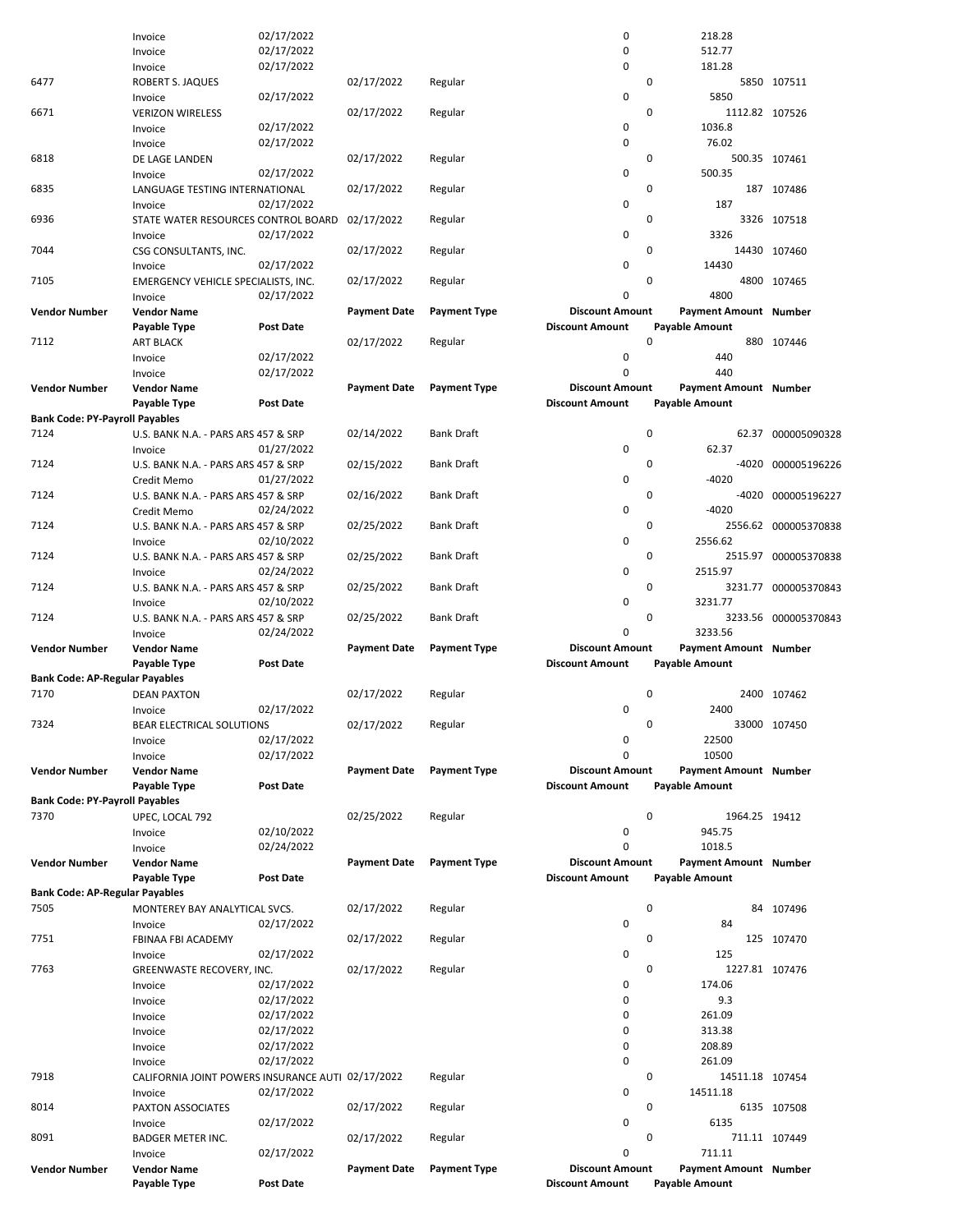| 7763<br>7918<br>8014<br>8091<br>Vendor Number | Invoice<br>Invoice<br>Invoice<br>Invoice<br>Invoice<br>Invoice<br>CALIFORNIA JOINT POWERS INSURANCE AUTI 02/17/2022<br>Invoice<br>PAXTON ASSOCIATES<br>Invoice<br><b>BADGER METER INC.</b><br>Invoice<br><b>Vendor Name</b> | 02/17/2022<br>02/17/2022<br>02/17/2022<br>02/17/2022<br>02/17/2022<br>02/17/2022<br>02/17/2022<br>02/17/2022<br>02/17/2022 | 02/17/2022<br>02/17/2022<br>02/17/2022<br><b>Payment Date</b> | Regular<br>Regular<br>Regular<br>Regular<br><b>Payment Type</b> | 0<br>0<br>0<br>0<br>$\pmb{0}$<br>$\pmb{0}$<br>$\pmb{0}$<br>$\pmb{0}$<br>$\mathbf 0$<br><b>Discount Amount</b> | 174.06<br>9.3<br>261.09<br>313.38<br>208.89<br>261.09<br>0<br>14511.18 107454<br>14511.18<br>$\mathbf 0$<br>6135<br>0<br>711.11<br>Payment Amount Number | 6135 107508<br>711.11 107449 |
|-----------------------------------------------|-----------------------------------------------------------------------------------------------------------------------------------------------------------------------------------------------------------------------------|----------------------------------------------------------------------------------------------------------------------------|---------------------------------------------------------------|-----------------------------------------------------------------|---------------------------------------------------------------------------------------------------------------|----------------------------------------------------------------------------------------------------------------------------------------------------------|------------------------------|
|                                               |                                                                                                                                                                                                                             |                                                                                                                            |                                                               |                                                                 |                                                                                                               |                                                                                                                                                          |                              |
|                                               |                                                                                                                                                                                                                             |                                                                                                                            |                                                               |                                                                 |                                                                                                               |                                                                                                                                                          |                              |
|                                               |                                                                                                                                                                                                                             |                                                                                                                            |                                                               |                                                                 |                                                                                                               |                                                                                                                                                          |                              |
|                                               |                                                                                                                                                                                                                             |                                                                                                                            |                                                               |                                                                 |                                                                                                               |                                                                                                                                                          |                              |
|                                               |                                                                                                                                                                                                                             |                                                                                                                            |                                                               |                                                                 |                                                                                                               |                                                                                                                                                          |                              |
|                                               |                                                                                                                                                                                                                             |                                                                                                                            |                                                               |                                                                 |                                                                                                               |                                                                                                                                                          |                              |
|                                               |                                                                                                                                                                                                                             |                                                                                                                            |                                                               |                                                                 |                                                                                                               |                                                                                                                                                          |                              |
|                                               |                                                                                                                                                                                                                             |                                                                                                                            |                                                               |                                                                 |                                                                                                               |                                                                                                                                                          |                              |
|                                               |                                                                                                                                                                                                                             |                                                                                                                            |                                                               |                                                                 |                                                                                                               |                                                                                                                                                          |                              |
|                                               |                                                                                                                                                                                                                             |                                                                                                                            |                                                               |                                                                 |                                                                                                               |                                                                                                                                                          |                              |
|                                               |                                                                                                                                                                                                                             |                                                                                                                            |                                                               |                                                                 |                                                                                                               |                                                                                                                                                          |                              |
|                                               |                                                                                                                                                                                                                             |                                                                                                                            |                                                               |                                                                 |                                                                                                               |                                                                                                                                                          |                              |
|                                               |                                                                                                                                                                                                                             |                                                                                                                            |                                                               |                                                                 |                                                                                                               |                                                                                                                                                          |                              |
|                                               | GREENWASTE RECOVERY, INC.                                                                                                                                                                                                   |                                                                                                                            |                                                               |                                                                 |                                                                                                               | $\mathbf 0$                                                                                                                                              | 1227.81 107476               |
|                                               | Invoice                                                                                                                                                                                                                     | 02/17/2022                                                                                                                 |                                                               |                                                                 | 0                                                                                                             | 125                                                                                                                                                      |                              |
| 7751                                          | FBINAA FBI ACADEMY                                                                                                                                                                                                          |                                                                                                                            | 02/17/2022                                                    | Regular                                                         |                                                                                                               | $\mathbf 0$                                                                                                                                              | 125 107470                   |
|                                               | Invoice                                                                                                                                                                                                                     | 02/17/2022                                                                                                                 |                                                               |                                                                 | $\pmb{0}$                                                                                                     | 84                                                                                                                                                       |                              |
| 7505                                          | MONTEREY BAY ANALYTICAL SVCS.                                                                                                                                                                                               |                                                                                                                            | 02/17/2022                                                    | Regular                                                         |                                                                                                               | 0                                                                                                                                                        | 84 107496                    |
| <b>Bank Code: AP-Regular Payables</b>         |                                                                                                                                                                                                                             |                                                                                                                            |                                                               |                                                                 |                                                                                                               |                                                                                                                                                          |                              |
|                                               | Payable Type                                                                                                                                                                                                                | <b>Post Date</b>                                                                                                           |                                                               |                                                                 | <b>Discount Amount</b>                                                                                        | Payable Amount                                                                                                                                           |                              |
| <b>Vendor Number</b>                          | <b>Vendor Name</b>                                                                                                                                                                                                          |                                                                                                                            | <b>Payment Date</b>                                           | <b>Payment Type</b>                                             | <b>Discount Amount</b>                                                                                        | Payment Amount Number                                                                                                                                    |                              |
|                                               | Invoice                                                                                                                                                                                                                     | 02/24/2022                                                                                                                 |                                                               |                                                                 | $\mathbf 0$                                                                                                   | 1018.5                                                                                                                                                   |                              |
|                                               | Invoice                                                                                                                                                                                                                     | 02/10/2022                                                                                                                 |                                                               |                                                                 | $\pmb{0}$                                                                                                     | 945.75                                                                                                                                                   |                              |
| 7370                                          | UPEC, LOCAL 792                                                                                                                                                                                                             |                                                                                                                            | 02/25/2022                                                    | Regular                                                         |                                                                                                               | 0<br>1964.25 19412                                                                                                                                       |                              |
| <b>Bank Code: PY-Payroll Payables</b>         |                                                                                                                                                                                                                             |                                                                                                                            |                                                               |                                                                 |                                                                                                               |                                                                                                                                                          |                              |
|                                               | Payable Type                                                                                                                                                                                                                | Post Date                                                                                                                  |                                                               |                                                                 | <b>Discount Amount</b>                                                                                        | <b>Payable Amount</b>                                                                                                                                    |                              |
| <b>Vendor Number</b>                          | <b>Vendor Name</b>                                                                                                                                                                                                          |                                                                                                                            | <b>Payment Date</b>                                           | <b>Payment Type</b>                                             | <b>Discount Amount</b>                                                                                        | Payment Amount Number                                                                                                                                    |                              |
|                                               | Invoice                                                                                                                                                                                                                     | 02/17/2022                                                                                                                 |                                                               |                                                                 |                                                                                                               | 10500                                                                                                                                                    |                              |
|                                               | Invoice                                                                                                                                                                                                                     | 02/17/2022                                                                                                                 |                                                               |                                                                 | $\mathbf 0$                                                                                                   |                                                                                                                                                          |                              |
|                                               | BEAR ELECTRICAL SOLUTIONS                                                                                                                                                                                                   |                                                                                                                            |                                                               |                                                                 | $\pmb{0}$                                                                                                     | 22500                                                                                                                                                    |                              |
| 7324                                          |                                                                                                                                                                                                                             |                                                                                                                            | 02/17/2022                                                    | Regular                                                         |                                                                                                               | $\Omega$                                                                                                                                                 | 33000 107450                 |
|                                               | Invoice                                                                                                                                                                                                                     | 02/17/2022                                                                                                                 |                                                               |                                                                 | $\mathbf 0$                                                                                                   | 2400                                                                                                                                                     |                              |
| 7170                                          | <b>DEAN PAXTON</b>                                                                                                                                                                                                          |                                                                                                                            | 02/17/2022                                                    | Regular                                                         |                                                                                                               | 0                                                                                                                                                        | 2400 107462                  |
| <b>Bank Code: AP-Regular Payables</b>         |                                                                                                                                                                                                                             |                                                                                                                            |                                                               |                                                                 |                                                                                                               |                                                                                                                                                          |                              |
|                                               | Payable Type                                                                                                                                                                                                                | <b>Post Date</b>                                                                                                           |                                                               |                                                                 | <b>Discount Amount</b>                                                                                        | <b>Payable Amount</b>                                                                                                                                    |                              |
| <b>Vendor Number</b>                          | <b>Vendor Name</b>                                                                                                                                                                                                          |                                                                                                                            | <b>Payment Date</b>                                           | <b>Payment Type</b>                                             | <b>Discount Amount</b>                                                                                        | Payment Amount Number                                                                                                                                    |                              |
|                                               | Invoice                                                                                                                                                                                                                     | 02/24/2022                                                                                                                 |                                                               |                                                                 | $\mathbf 0$                                                                                                   | 3233.56                                                                                                                                                  |                              |
| 7124                                          | U.S. BANK N.A. - PARS ARS 457 & SRP                                                                                                                                                                                         |                                                                                                                            | 02/25/2022                                                    | <b>Bank Draft</b>                                               |                                                                                                               | 0                                                                                                                                                        | 3233.56 000005370843         |
|                                               | Invoice                                                                                                                                                                                                                     | 02/10/2022                                                                                                                 |                                                               |                                                                 | $\mathbf 0$                                                                                                   | 3231.77                                                                                                                                                  |                              |
| 7124                                          | U.S. BANK N.A. - PARS ARS 457 & SRP                                                                                                                                                                                         |                                                                                                                            | 02/25/2022                                                    | <b>Bank Draft</b>                                               |                                                                                                               | 0                                                                                                                                                        | 3231.77 000005370843         |
|                                               | Invoice                                                                                                                                                                                                                     | 02/24/2022                                                                                                                 |                                                               |                                                                 | $\mathbf 0$                                                                                                   | 2515.97                                                                                                                                                  |                              |
| 7124                                          | U.S. BANK N.A. - PARS ARS 457 & SRP                                                                                                                                                                                         |                                                                                                                            | 02/25/2022                                                    | <b>Bank Draft</b>                                               |                                                                                                               | 0                                                                                                                                                        | 2515.97 000005370838         |
|                                               | Invoice                                                                                                                                                                                                                     | 02/10/2022                                                                                                                 |                                                               |                                                                 | $\pmb{0}$                                                                                                     | 2556.62                                                                                                                                                  |                              |
| 7124                                          | U.S. BANK N.A. - PARS ARS 457 & SRP                                                                                                                                                                                         |                                                                                                                            | 02/25/2022                                                    | <b>Bank Draft</b>                                               |                                                                                                               | 0                                                                                                                                                        | 2556.62 000005370838         |
|                                               | Credit Memo                                                                                                                                                                                                                 | 02/24/2022                                                                                                                 |                                                               |                                                                 | 0                                                                                                             | $-4020$                                                                                                                                                  |                              |
| 7124                                          | U.S. BANK N.A. - PARS ARS 457 & SRP                                                                                                                                                                                         |                                                                                                                            | 02/16/2022                                                    | <b>Bank Draft</b>                                               |                                                                                                               | 0                                                                                                                                                        | -4020 000005196227           |
|                                               | Credit Memo                                                                                                                                                                                                                 | 01/27/2022                                                                                                                 |                                                               |                                                                 | 0                                                                                                             | $-4020$                                                                                                                                                  |                              |
| 7124                                          | U.S. BANK N.A. - PARS ARS 457 & SRP                                                                                                                                                                                         |                                                                                                                            | 02/15/2022                                                    | <b>Bank Draft</b>                                               |                                                                                                               | $\mathbf 0$                                                                                                                                              | -4020 000005196226           |
|                                               | Invoice                                                                                                                                                                                                                     |                                                                                                                            |                                                               |                                                                 |                                                                                                               |                                                                                                                                                          |                              |
|                                               |                                                                                                                                                                                                                             | 01/27/2022                                                                                                                 |                                                               |                                                                 | 0                                                                                                             | 62.37                                                                                                                                                    |                              |
| 7124                                          | U.S. BANK N.A. - PARS ARS 457 & SRP                                                                                                                                                                                         |                                                                                                                            | 02/14/2022                                                    | <b>Bank Draft</b>                                               |                                                                                                               | 0                                                                                                                                                        | 62.37 000005090328           |
| <b>Bank Code: PY-Payroll Payables</b>         |                                                                                                                                                                                                                             |                                                                                                                            |                                                               |                                                                 |                                                                                                               |                                                                                                                                                          |                              |
|                                               | Payable Type                                                                                                                                                                                                                | <b>Post Date</b>                                                                                                           |                                                               |                                                                 | <b>Discount Amount</b>                                                                                        | Payable Amount                                                                                                                                           |                              |
| <b>Vendor Number</b>                          | <b>Vendor Name</b>                                                                                                                                                                                                          |                                                                                                                            | <b>Payment Date</b>                                           | <b>Payment Type</b>                                             | <b>Discount Amount</b>                                                                                        | Payment Amount Number                                                                                                                                    |                              |
|                                               | Invoice                                                                                                                                                                                                                     | 02/17/2022                                                                                                                 |                                                               |                                                                 | $\mathbf 0$                                                                                                   | 440                                                                                                                                                      |                              |
|                                               | Invoice                                                                                                                                                                                                                     | 02/17/2022                                                                                                                 |                                                               |                                                                 | $\pmb{0}$                                                                                                     | 440                                                                                                                                                      |                              |
| 7112                                          | <b>ART BLACK</b>                                                                                                                                                                                                            |                                                                                                                            | 02/17/2022                                                    | Regular                                                         |                                                                                                               | $\Omega$                                                                                                                                                 | 880 107446                   |
|                                               | Payable Type                                                                                                                                                                                                                | <b>Post Date</b>                                                                                                           |                                                               |                                                                 | <b>Discount Amount</b>                                                                                        | Payable Amount                                                                                                                                           |                              |
| <b>Vendor Number</b>                          | <b>Vendor Name</b>                                                                                                                                                                                                          |                                                                                                                            | <b>Payment Date</b>                                           | <b>Payment Type</b>                                             | <b>Discount Amount</b>                                                                                        | Payment Amount Number                                                                                                                                    |                              |
|                                               | Invoice                                                                                                                                                                                                                     | 02/17/2022                                                                                                                 |                                                               |                                                                 | $\mathbf 0$                                                                                                   | 4800                                                                                                                                                     |                              |
| 7105                                          | EMERGENCY VEHICLE SPECIALISTS, INC.                                                                                                                                                                                         |                                                                                                                            | 02/17/2022                                                    | Regular                                                         |                                                                                                               | 0                                                                                                                                                        | 4800 107465                  |
|                                               | Invoice                                                                                                                                                                                                                     | 02/17/2022                                                                                                                 |                                                               |                                                                 | 0                                                                                                             | 14430                                                                                                                                                    |                              |
| 7044                                          | CSG CONSULTANTS, INC.                                                                                                                                                                                                       |                                                                                                                            | 02/17/2022                                                    | Regular                                                         |                                                                                                               | 0                                                                                                                                                        | 14430 107460                 |
|                                               | Invoice                                                                                                                                                                                                                     | 02/17/2022                                                                                                                 |                                                               |                                                                 | $\mathbf 0$                                                                                                   | 3326                                                                                                                                                     |                              |
| 6936                                          | STATE WATER RESOURCES CONTROL BOARD                                                                                                                                                                                         |                                                                                                                            | 02/17/2022                                                    | Regular                                                         |                                                                                                               | $\mathbf 0$                                                                                                                                              | 3326 107518                  |
|                                               | Invoice                                                                                                                                                                                                                     | 02/17/2022                                                                                                                 |                                                               |                                                                 | $\pmb{0}$                                                                                                     | 187                                                                                                                                                      |                              |
| 6835                                          | LANGUAGE TESTING INTERNATIONAL                                                                                                                                                                                              |                                                                                                                            | 02/17/2022                                                    | Regular                                                         |                                                                                                               | 0                                                                                                                                                        | 187 107486                   |
|                                               | Invoice                                                                                                                                                                                                                     | 02/17/2022                                                                                                                 |                                                               |                                                                 | 0                                                                                                             | 500.35                                                                                                                                                   |                              |
| 6818                                          | DE LAGE LANDEN                                                                                                                                                                                                              |                                                                                                                            | 02/17/2022                                                    | Regular                                                         |                                                                                                               | $\mathbf 0$                                                                                                                                              | 500.35 107461                |
|                                               | Invoice                                                                                                                                                                                                                     | 02/17/2022                                                                                                                 |                                                               |                                                                 | $\mathbf 0$                                                                                                   | 76.02                                                                                                                                                    |                              |
|                                               | Invoice                                                                                                                                                                                                                     | 02/17/2022                                                                                                                 |                                                               |                                                                 | 0                                                                                                             | 1036.8                                                                                                                                                   |                              |
| 6671                                          | <b>VERIZON WIRELESS</b>                                                                                                                                                                                                     |                                                                                                                            | 02/17/2022                                                    | Regular                                                         |                                                                                                               | 0<br>1112.82 107526                                                                                                                                      |                              |
|                                               | Invoice                                                                                                                                                                                                                     | 02/17/2022                                                                                                                 |                                                               |                                                                 | 0                                                                                                             | 5850                                                                                                                                                     |                              |
| 6477                                          | ROBERT S. JAQUES                                                                                                                                                                                                            |                                                                                                                            | 02/17/2022                                                    | Regular                                                         |                                                                                                               | $\mathbf 0$                                                                                                                                              | 5850 107511                  |
|                                               | Invoice                                                                                                                                                                                                                     | 02/17/2022                                                                                                                 |                                                               |                                                                 | $\mathbf 0$                                                                                                   | 181.28                                                                                                                                                   |                              |
|                                               | Invoice                                                                                                                                                                                                                     | 02/17/2022                                                                                                                 |                                                               |                                                                 | 0                                                                                                             | 512.77                                                                                                                                                   |                              |
|                                               | Invoice                                                                                                                                                                                                                     | 02/17/2022                                                                                                                 |                                                               |                                                                 | 0                                                                                                             | 218.28                                                                                                                                                   |                              |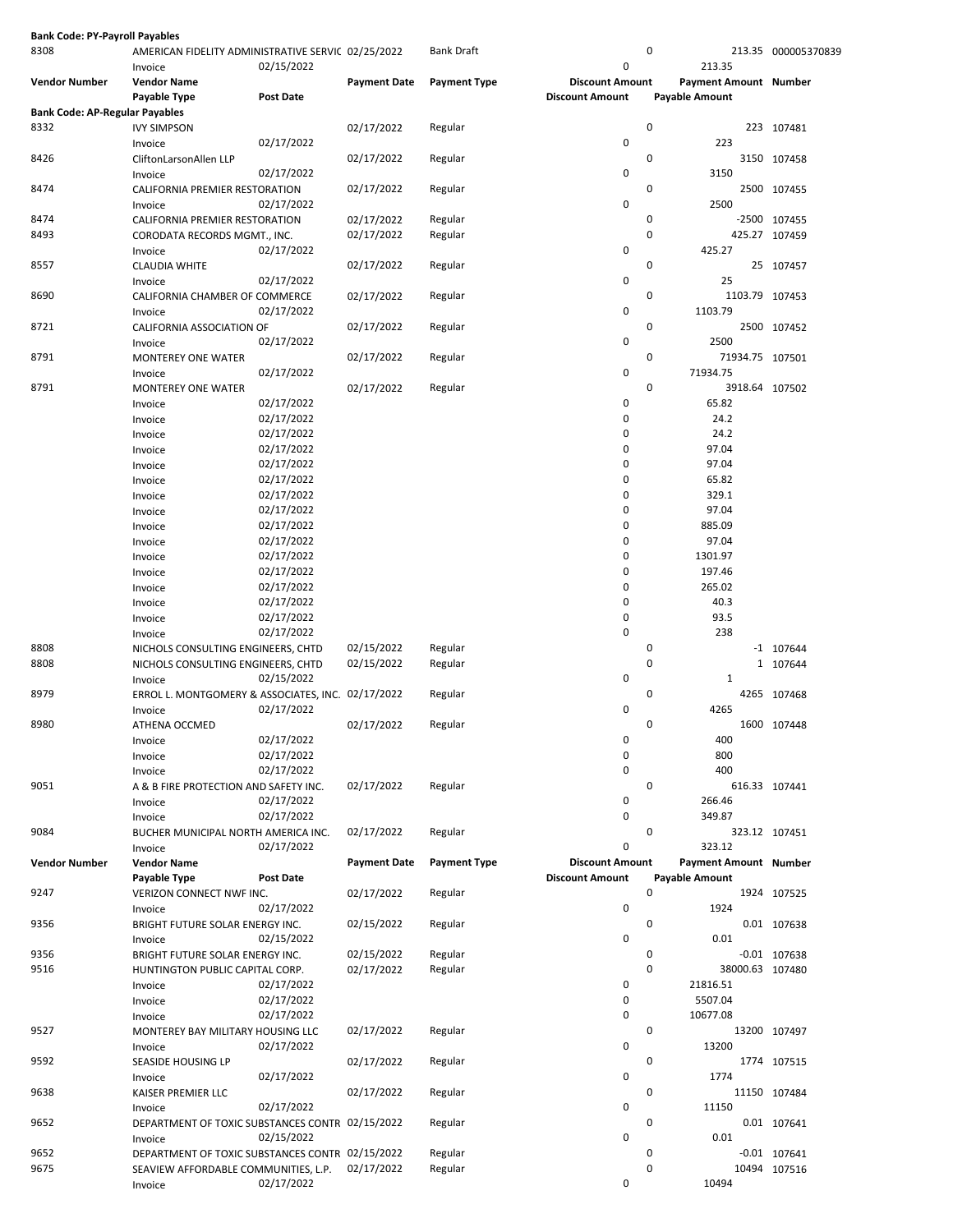| <b>Bank Code: PY-Payroll Payables</b> |                                                               |                          |                     |                     |                            |                              |                     |
|---------------------------------------|---------------------------------------------------------------|--------------------------|---------------------|---------------------|----------------------------|------------------------------|---------------------|
| 8308                                  | AMERICAN FIDELITY ADMINISTRATIVE SERVIC 02/25/2022<br>Invoice | 02/15/2022               |                     | <b>Bank Draft</b>   | $\mathbf 0$                | 0<br>213.35                  | 213.35 000005370839 |
| <b>Vendor Number</b>                  | <b>Vendor Name</b>                                            |                          | <b>Payment Date</b> | <b>Payment Type</b> | <b>Discount Amount</b>     | Payment Amount Number        |                     |
|                                       | Payable Type                                                  | Post Date                |                     |                     | <b>Discount Amount</b>     | Payable Amount               |                     |
| <b>Bank Code: AP-Regular Payables</b> |                                                               |                          |                     |                     |                            |                              |                     |
| 8332                                  | <b>IVY SIMPSON</b>                                            |                          | 02/17/2022          | Regular             | $\mathbf 0$                | 0<br>223                     | 223 107481          |
| 8426                                  | Invoice<br>CliftonLarsonAllen LLP                             | 02/17/2022               | 02/17/2022          | Regular             |                            | 0                            | 3150 107458         |
|                                       | Invoice                                                       | 02/17/2022               |                     |                     | $\mathbf 0$                | 3150                         |                     |
| 8474                                  | CALIFORNIA PREMIER RESTORATION                                |                          | 02/17/2022          | Regular             |                            | 0                            | 2500 107455         |
|                                       | Invoice                                                       | 02/17/2022               |                     |                     | $\mathbf 0$                | 2500                         |                     |
| 8474                                  | CALIFORNIA PREMIER RESTORATION                                |                          | 02/17/2022          | Regular             |                            | 0                            | -2500 107455        |
| 8493                                  | CORODATA RECORDS MGMT., INC.                                  |                          | 02/17/2022          | Regular             |                            | 0                            | 425.27 107459       |
|                                       | Invoice                                                       | 02/17/2022               |                     |                     | $\mathbf 0$                | 425.27                       |                     |
| 8557                                  | <b>CLAUDIA WHITE</b><br>Invoice                               | 02/17/2022               | 02/17/2022          | Regular             | $\mathbf 0$                | 0<br>25                      | 25 107457           |
| 8690                                  | CALIFORNIA CHAMBER OF COMMERCE                                |                          | 02/17/2022          | Regular             |                            | 0<br>1103.79 107453          |                     |
|                                       | Invoice                                                       | 02/17/2022               |                     |                     | $\mathbf 0$                | 1103.79                      |                     |
| 8721                                  | CALIFORNIA ASSOCIATION OF                                     |                          | 02/17/2022          | Regular             |                            | 0                            | 2500 107452         |
|                                       | Invoice                                                       | 02/17/2022               |                     |                     | $\mathbf 0$                | 2500                         |                     |
| 8791                                  | <b>MONTEREY ONE WATER</b>                                     |                          | 02/17/2022          | Regular             |                            | 0<br>71934.75 107501         |                     |
|                                       | Invoice                                                       | 02/17/2022               |                     |                     | $\mathbf 0$                | 71934.75                     |                     |
| 8791                                  | <b>MONTEREY ONE WATER</b><br>Invoice                          | 02/17/2022               | 02/17/2022          | Regular             | 0                          | 0<br>3918.64 107502<br>65.82 |                     |
|                                       | Invoice                                                       | 02/17/2022               |                     |                     | $\mathbf 0$                | 24.2                         |                     |
|                                       | Invoice                                                       | 02/17/2022               |                     |                     | $\mathbf 0$                | 24.2                         |                     |
|                                       | Invoice                                                       | 02/17/2022               |                     |                     | $\mathbf 0$                | 97.04                        |                     |
|                                       | Invoice                                                       | 02/17/2022               |                     |                     | $\mathbf 0$                | 97.04                        |                     |
|                                       | Invoice                                                       | 02/17/2022               |                     |                     | $\mathbf 0$                | 65.82                        |                     |
|                                       | Invoice                                                       | 02/17/2022               |                     |                     | $\mathbf 0$                | 329.1                        |                     |
|                                       | Invoice                                                       | 02/17/2022               |                     |                     | $\mathbf 0$                | 97.04                        |                     |
|                                       | Invoice                                                       | 02/17/2022               |                     |                     | $\mathbf 0$                | 885.09                       |                     |
|                                       | Invoice                                                       | 02/17/2022               |                     |                     | 0                          | 97.04                        |                     |
|                                       | Invoice                                                       | 02/17/2022               |                     |                     | $\mathbf 0$                | 1301.97                      |                     |
|                                       | Invoice                                                       | 02/17/2022               |                     |                     | $\mathbf 0$                | 197.46                       |                     |
|                                       | Invoice                                                       | 02/17/2022               |                     |                     | $\mathbf 0$                | 265.02                       |                     |
|                                       | Invoice                                                       | 02/17/2022<br>02/17/2022 |                     |                     | $\mathbf 0$<br>$\pmb{0}$   | 40.3<br>93.5                 |                     |
|                                       | Invoice<br>Invoice                                            | 02/17/2022               |                     |                     | $\mathbf 0$                | 238                          |                     |
| 8808                                  | NICHOLS CONSULTING ENGINEERS, CHTD                            |                          | 02/15/2022          | Regular             |                            | 0                            | $-1$ 107644         |
| 8808                                  | NICHOLS CONSULTING ENGINEERS, CHTD                            |                          | 02/15/2022          | Regular             |                            | 0                            | 1 107644            |
|                                       | Invoice                                                       | 02/15/2022               |                     |                     | $\mathbf 0$                | 1                            |                     |
| 8979                                  | ERROL L. MONTGOMERY & ASSOCIATES, INC. 02/17/2022             |                          |                     | Regular             |                            | 0                            | 4265 107468         |
|                                       | Invoice                                                       | 02/17/2022               |                     |                     | $\mathbf 0$                | 4265                         |                     |
| 8980                                  | ATHENA OCCMED                                                 |                          | 02/17/2022          | Regular             |                            | $\Omega$                     | 1600 107448         |
|                                       | Invoice                                                       | 02/17/2022               |                     |                     | 0                          | 400                          |                     |
|                                       | Invoice                                                       | 02/17/2022               |                     |                     | $\mathbf 0$<br>$\mathbf 0$ | 800<br>400                   |                     |
| 9051                                  | Invoice<br>A & B FIRE PROTECTION AND SAFETY INC.              | 02/17/2022               | 02/17/2022          | Regular             |                            | 0                            | 616.33 107441       |
|                                       | Invoice                                                       | 02/17/2022               |                     |                     | $\mathbf 0$                | 266.46                       |                     |
|                                       | Invoice                                                       | 02/17/2022               |                     |                     | $\mathbf 0$                | 349.87                       |                     |
| 9084                                  | BUCHER MUNICIPAL NORTH AMERICA INC.                           |                          | 02/17/2022          | Regular             |                            | 0                            | 323.12 107451       |
|                                       | Invoice                                                       | 02/17/2022               |                     |                     | $\mathbf 0$                | 323.12                       |                     |
| <b>Vendor Number</b>                  | <b>Vendor Name</b>                                            |                          | <b>Payment Date</b> | <b>Payment Type</b> | <b>Discount Amount</b>     | Payment Amount Number        |                     |
| 9247                                  | Payable Type<br>VERIZON CONNECT NWF INC.                      | <b>Post Date</b>         |                     | Regular             | <b>Discount Amount</b>     | <b>Payable Amount</b><br>0   | 1924 107525         |
|                                       | Invoice                                                       | 02/17/2022               | 02/17/2022          |                     | $\mathbf 0$                | 1924                         |                     |
| 9356                                  | BRIGHT FUTURE SOLAR ENERGY INC.                               |                          | 02/15/2022          | Regular             |                            | 0                            | 0.01 107638         |
|                                       | Invoice                                                       | 02/15/2022               |                     |                     | $\mathbf 0$                | 0.01                         |                     |
| 9356                                  | BRIGHT FUTURE SOLAR ENERGY INC.                               |                          | 02/15/2022          | Regular             |                            | 0                            | $-0.01$ 107638      |
| 9516                                  | HUNTINGTON PUBLIC CAPITAL CORP.                               |                          | 02/17/2022          | Regular             |                            | 0<br>38000.63 107480         |                     |
|                                       | Invoice                                                       | 02/17/2022               |                     |                     | $\mathbf 0$                | 21816.51                     |                     |
|                                       | Invoice                                                       | 02/17/2022               |                     |                     | $\mathbf 0$                | 5507.04                      |                     |
|                                       | Invoice                                                       | 02/17/2022               |                     |                     | $\mathbf 0$                | 10677.08                     |                     |
| 9527                                  | MONTEREY BAY MILITARY HOUSING LLC                             |                          | 02/17/2022          | Regular             |                            | 0                            | 13200 107497        |
| 9592                                  | Invoice<br>SEASIDE HOUSING LP                                 | 02/17/2022               | 02/17/2022          | Regular             | $\mathbf 0$                | 13200<br>0                   | 1774 107515         |
|                                       | Invoice                                                       | 02/17/2022               |                     |                     | $\mathbf 0$                | 1774                         |                     |
| 9638                                  | KAISER PREMIER LLC                                            |                          | 02/17/2022          | Regular             |                            | 0                            | 11150 107484        |
|                                       | Invoice                                                       | 02/17/2022               |                     |                     | $\mathbf 0$                | 11150                        |                     |
| 9652                                  | DEPARTMENT OF TOXIC SUBSTANCES CONTR 02/15/2022               |                          |                     | Regular             |                            | 0                            | 0.01 107641         |
|                                       | Invoice                                                       | 02/15/2022               |                     |                     | $\mathbf 0$                | 0.01                         |                     |
| 9652                                  | DEPARTMENT OF TOXIC SUBSTANCES CONTR 02/15/2022               |                          |                     | Regular             |                            | 0                            | $-0.01$ 107641      |
| 9675                                  | SEAVIEW AFFORDABLE COMMUNITIES, L.P.                          |                          | 02/17/2022          | Regular             |                            | 0                            | 10494 107516        |
|                                       | Invoice                                                       | 02/17/2022               |                     |                     | $\mathbf 0$                | 10494                        |                     |